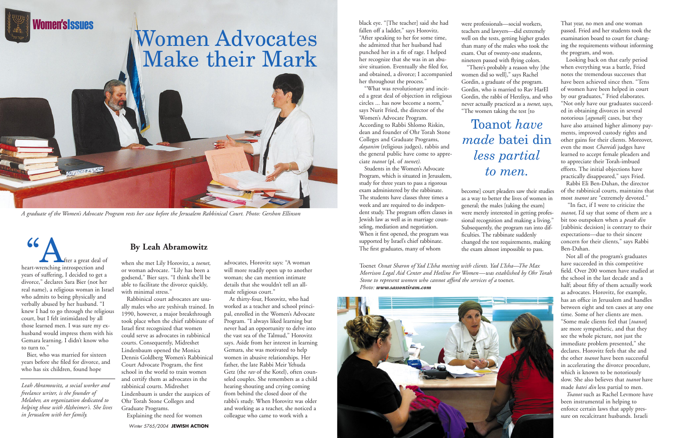Winter 5765/2004 **JEWISH ACTION**

*Leah Abramowitz, a social worker and freelance writer, is the founder of Melabev, an organization dedicated to helping those with Alzheimer's. She lives in Jerusalem with her family.* 



### **By Leah Abramowitz**

*A graduate of the Women's Advocate Program rests her case before the Jerusalem Rabbinical Court. Photo: Gershon Ellinson*

fter a great deal of<br>heart-wrenching introspection and years of suffering, I decided to get a divorce," declares Sara Bier (not her real name), a religious woman in Israel who admits to being physically and verbally abused by her husband. "I knew I had to go through the religious court, but I felt intimidated by all those learned men. I was sure my exhusband would impress them with his Gemara learning. I didn't know who to turn to."

*Iomen'sIssues* 

Bier, who was married for sixteen years before she filed for divorce, and who has six children, found hope

when she met Lily Horovitz, a *toenet,* or woman advocate. "Lily has been a godsend," Bier says. "I think she'll be able to facilitate the divorce quickly, with minimal stress."

Rabbinical court advocates are usually males who are yeshivah trained. In 1990, however, a major breakthrough took place when the chief rabbinate of Israel first recognized that women could serve as advocates in rabbinical courts. Consequently, Midreshet Lindenbaum opened the Monica Dennis Goldberg Women's Rabbinical Court Advocate Program, the first school in the world to train women and certify them as advocates in the rabbinical courts. Midreshet Lindenbaum is under the auspices of Ohr Torah Stone Colleges and Graduate Programs. Explaining the need for women

advocates, Horovitz says: "A woman will more readily open up to another woman; she can mention intimate details that she wouldn't tell an allmale religious court."

At thirty-four, Horovitz, who had worked as a teacher and school principal, enrolled in the Women's Advocate Program. "I always liked learning but never had an opportunity to delve into the vast sea of the Talmud," Horovitz says. Aside from her interest in learning Gemara, she was motivated to help women in abusive relationships. Her father, the late Rabbi Meir Yehuda Getz (the *rav* of the Kotel), often counseled couples. She remembers as a child hearing shouting and crying coming from behind the closed door of the rabbi's study. When Horovitz was older and working as a teacher, she noticed a colleague who came to work with a

black eye. "[The teacher] said she had fallen off a ladder," says Horovitz. "After speaking to her for some time, she admitted that her husband had punched her in a fit of rage. I helped her recognize that she was in an abusive situation. Eventually she filed for, and obtained, a divorce; I accompanied her throughout the process."

"What was revolutionary and incited a great deal of objection in religious circles ... has now become a norm," says Nurit Fried, the director of the Women's Advocate Program. According to Rabbi Shlomo Riskin, dean and founder of Ohr Torah Stone Colleges and Graduate Programs, *dayanim* (religious judges), rabbis and the general public have come to appreciate *toanot* (pl. of *toenet)*.

Students in the Women's Advocate Program, which is situated in Jerusalem, study for three years to pass a rigorous exam administered by the rabbinate. The students have classes three times a week and are required to do independent study. The program offers classes in Jewish law as well as in marriage counseling, mediation and negotiation. When it first opened, the program was supported by Israel's chief rabbinate. The first graduates, many of whom

That year, no men and one woman passed. Fried and her students took the examination board to court for changing the requirements without informing the program, and won.

Looking back on that early period when everything was a battle, Fried notes the tremendous successes that have been achieved since then. "Tens of women have been helped in court by our graduates," Fried elaborates. "Not only have our graduates succeeded in obtaining divorces in several notorious [*agunah*] cases, but they have also attained higher alimony payments, improved custody rights and other gains for their clients. Moreover, even the most *Chareidi* judges have learned to accept female pleaders and to appreciate their Torah-imbued efforts. The initial objections have practically disappeared," says Fried.

Rabbi Eli Ben-Dahan, the director of the rabbinical courts, maintains that most *toanot* are "extremely devoted."

"In fact, if I were to criticize the *toanot*, I'd say that some of them are a bit too outspoken when a *pesak din* [rabbinic decision] is contrary to their expectations—due to their sincere concern for their clients," says Rabbi Ben-Dahan.

Not all of the program's graduates have succeeded in this competitive field. Over 200 women have studied at the school in the last decade and a half; about fifty of them actually work as advocates. Horovitz, for example, has an office in Jerusalem and handles between eight and ten cases at any one time. Some of her clients are men. "Some male clients feel that [*toanot*] are more sympathetic, and that they see the whole picture, not just the immediate problem presented," she declares. Horovitz feels that she and the other *toanot* have been successful in accelerating the divorce procedure, which is known to be notoriously slow. She also believes that *toanot* have made *batei din* less partial to men.

*Toanot* such as Rachel Levmore have been instrumental in helping to enforce certain laws that apply pressure on recalcitrant husbands. Israeli

were professionals—social workers, teachers and lawyers—did extremely well on the tests, getting higher grades than many of the males who took the exam. Out of twenty-one students, nineteen passed with flying colors. "There's probably a reason why [the women did so well]," says Rachel Gordin, a graduate of the program. Gordin, who is married to Rav HarEl Gordin, the rabbi of Herzliya, and who never actually practiced as a *toenet*, says, "The women taking the test [to

become] court pleaders saw their studies as a way to better the lives of women in general; the males [taking the exam] were merely interested in getting professional recognition and making a living." Subsequently, the program ran into difficulties. The rabbinate suddenly changed the test requirements, making the exam almost impossible to pass.

# Toanot *have made* batei din *less partial to men.*

Toenet *Osnat Sharon of Yad L'Isha meeting with clients. Yad L'Isha—The Max Morrison Legal Aid Center and Hotline For Women—was established by Ohr Torah Stone to represent women who cannot afford the services of a* toenet. *Photo: www.sassontiram.com*